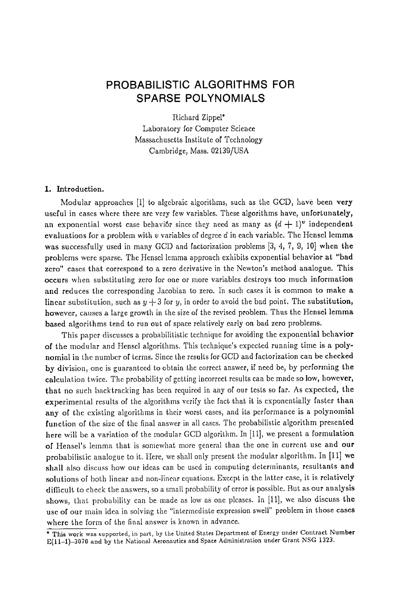# **PROBABILISTIC ALGORITHMS FOR SPARSE POLYNOMIALS**

Richard Zippel\* Laboratory for Computer Science Massachusetts Institute of Technology Cambridge, Mass. 02139/USA

# I. Introduction.

Modular approaches  $[1]$  to algebraic algorithms, such as the GCD, have been very useful in cases where there arc very few variables. These algorithms have, unfortunately, an exponential worst case behavior since they need as many as  $(d + 1)^v$  independent evaluations for a problem with  $v$  variables of degree  $d$  in each variable. The Hensel lemma was successfully used in many GCD and factorization problems [3, 4, 7, 9, i0] when the problems were sparse. The Hensel lemma approach exhibits exponential behavior at "bad zero" cases that correspond to a zero derivative in the Newton's method analogue. This occurs when substituting zero for one or more variables destroys too much information and reduces the corresponding Jacobian to zero. In such cases it is common to make a linear substitution, such as  $y + 3$  for y, in order to avoid the bad point. The substitution, however, causes a large growth in the size of the revised problem. Thus the Hensel lemma based algorithms tend to run out of space relatively early on bad zero problems.

This paper discusses a probabilitistie technique for avoiding the exponential behavior of the modular and Hensel algorithms. This technique's expected running time is a polynomial in the number of terms. Since the results for GCD and factorization can be checked by division, one is guaranteed to obtain the correct answer, if need be, by performing the calculation twice. The probability of getting incorrect results can be made so low, however, that no such backtracking has been required in any of our tests so far. As expected, the experimental results of the algorithms verify the fact that it is exponentially faster than any of the existing algorithms in their worst eases, and its performance is a polynomial function of the size of the final answer in all cases. The probabilistic algorithm presented here will be a variation of the modular GCD algorithm. In  $[11]$ , we present a formulation of Hensel's lemma that is somewhat more general than the one in current use and our probabilistic analogue to it. Here, we shall only present the modular algorithm. In [11] we shall also discuss how our ideas can be used in computing determinants, resultants and solutions of both linear and non-linear equations. Except in the latter ease, it is relatively difficult to check the answers, so a small probability of error is possible. But as our analysis shows, that probability can be made as low as one pleases, tn [11], we also discuss the use of our main idea in solving the "intermediate expression swell" problem in those cases where the form of the final answer is known in advance.

<sup>\*</sup> This work was supported, in part, by the United States Department of Energy under Contract Number E(11-1)-3070 and by the National Aeronautics and Space Administration under Grant NSG 1323.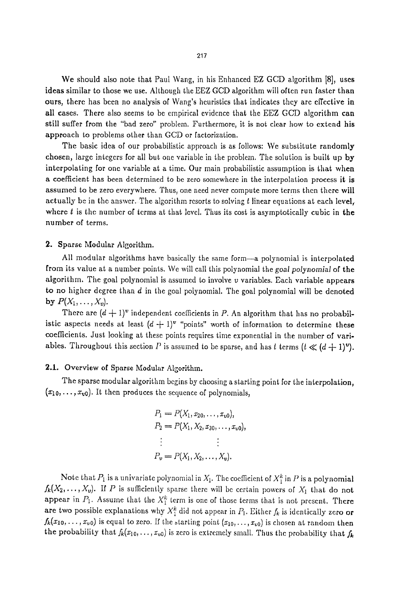We should also note that Paul Wang, in his Enhanced EZ GCD algorithm [8], uses ideas similar to those we use. Although the EEZ GCD algorithm wilt often run faster than ours, there has becn no analysis of Wang's heuristics that indicates they arc effective in all cases. There also seems to be empirical evidence that the EEZ GCD algorithm can still suffer from the "bad zero" problem. Furthermore, it is not clear how to extend his approach to problems other than GCD or factorization.

The basic idea of our probabillstic approach is as follows: We substitute randomly chosen, large integers for all but one variable in the problem. The solution is built up by interpolating for one variable at a time. Our main probabilistic assumption is that when a coefficient has been determined to be zero somewhcre in the interpolation process it is assumed to be zero everywhere. Thus, one need never eomputc more terms then therc will actually be in the answer. The algorithm resorts to solving  $t$  linear equations at each level, where  $t$  is the number of terms at that level. Thus its cost is asymptotically cubic in the number of terms.

## 2. Sparse Modular Algorithm.

All modular algorithms have basically the same form-a polynomial is interpolated from its value at a number points. We will call this polynomial the *goal polynomial* of the algorithm, The goal polynomial is assumed to involve v variables. Each variable appears to no higher degree than  $d$  in the goal polynomial. The goal polynomial will be denoted by  $P(X_1, \ldots, X_v)$ .

There are  $(d + 1)^v$  independent coefficients in P. An algorithm that has no probabilistic aspects needs at least  $(d + 1)$ <sup>v</sup> "points" worth of information to determine these coefficients. Just looking at these points requires time exponential in the number of variables. Throughout this section P is assumed to be sparse, and has t terms  $(t \ll (d+1)^{\nu})$ .

## 2.1. Overview of Sparse Modular Algorithm.

The sparse modular algorithm begins by choosing a starting point for the interpolation,  $(x_{10},..., x_{v0})$ . It then produces the sequence of polynomials,

$$
P_1 = P(X_1, x_{20}, \dots, x_{v0}),
$$
  
\n
$$
P_2 = P(X_1, X_2, x_{30}, \dots, x_{v0}),
$$
  
\n
$$
\vdots \qquad \vdots
$$
  
\n
$$
P_v = P(X_1, X_2, \dots, X_v).
$$

Note that  $P_1$  is a univariate polynomial in  $X_1$ . The coefficient of  $X_1^k$  in P is a polynomial  $f_k(X_2,\ldots,X_\nu)$ . If P is sufficiently sparse there will be certain powers of  $X_1$  that do not appear in  $P_1$ . Assume that the  $X_1^k$  term is one of those terms that is not present. There are two possible explanations why  $X_{1}^{k}$  did not appear in  $P_{1}$ . Either  $f_{k}$  is identically zero or  $f_k(x_{10},...,x_{\nu0})$  is equal to zero. If the starting point  $(x_{10},...,x_{\nu0})$  is chosen at random then the probability that  $f_k(x_{10},..., x_{v0})$  is zero is extremely small. Thus the probability that  $f_k$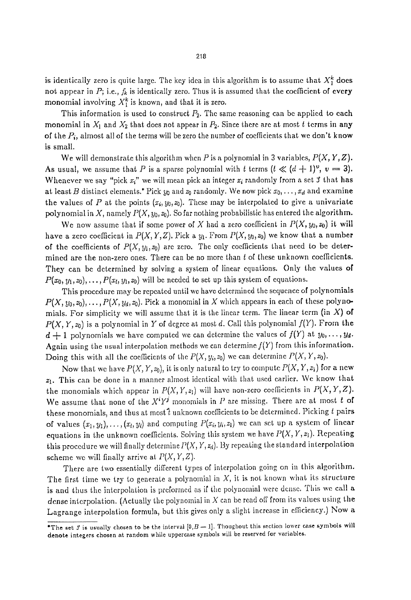is identically zero is quite large. The key idea in this algorithm is to assume that  $X_1^k$  does not appear in  $P$ ; i.e.,  $f_k$  is identically zero. Thus it is assumed that the coefficient of every monomial involving  $X<sub>i</sub><sup>k</sup>$  is known, and that it is zero.

This information is used to construct  $P_2$ . The same reasoning can be applied to each monomial in  $X_1$  and  $X_2$  that does not appear in  $P_2$ . Since there are at most t terms in any of the  $P_i$ , almost all of the terms will be zero the number of coefficients that we don't know is small.

We will demonstrate this algorithm when  $P$  is a polynomial in 3 variables,  $P(X, Y, Z)$ . As usual, we assume that P is a sparse polynomial with t terms  $(t \ll (d+1)^{\nu}, \nu = 3)$ . Whenever we say "pick  $x_i$ " we will mean pick an integer  $x_i$  randomly from a set  $f$  that has at least B distinct elements.\* Pick  $y_0$  and  $z_0$  randomly. We now pick  $x_0, \ldots, x_d$  and examine the values of P at the points  $(x_i, y_0, z_0)$ . These may be interpolated to give a univariate polynomial in X, namely *P(X, Yo, zo).* So far nothing probabilistie has entered the algorithm.

We now assume that if some power of X had a zero coefficient in  $P(X, y_0, z_0)$  it will have a zero coefficient in  $P(X, Y, Z)$ . Pick a  $y_1$ . From  $P(X, y_0, z_0)$  we know that a number of the coefficients of  $P(X, y_1, z_0)$  are zero. The only coefficients that need to be determined are the non-zero ones. There can be no more than  $t$  of these unknown coefficients. They can be determined by solving a system of linear equations. Only the values of  $P(x_0, y_1, z_0), \ldots, P(x_t, y_1, z_0)$  will be needed to set up this system of equations.

This procedure may be repeated until we have determined the sequence of polynomials  $P(X, y_0, z_0), \ldots, P(X, y_d, z_0)$ . Pick a monomial in X which appears in each of these polynomials. For simplicity we will assume that it is the linear term. The linear term (in X) of  $P(X, Y, z_0)$  is a polynomial in Y of degree at most d. Call this polynomial  $f(Y)$ . From the  $d + 1$  polynomials we have computed we can determine the values of  $f(Y)$  at  $y_0, \ldots, y_d$ . Again using the usual interpolation methods we can determine  $f(Y)$  from this information. Doing this with all the coefficients of the  $P(X, y_i, z_0)$  we can determine  $P(X, Y, z_0)$ .

Now that we have  $P(X, Y, z_0)$ , it is only natural to try to compute  $P(X, Y, z_1)$  for a new  $z_1$ . This can be done in a manner almost identical with that used earlier. We know that the monomials which appear in  $P(X, Y, z<sub>1</sub>)$  will have non-zero coefficients in  $P(X, Y, Z)$ . We assume that none of the  $X^iY^j$  monomials in P are missing. There are at most t of these monomials, and thus at most  $t$  unknown coefficients to be determined. Picking  $t$  pairs of values  $(x_1, y_1), \ldots, (x_t, y_t)$  and computing  $P(x_i, y_i, z_1)$  we can set up a system of linear equations in the unknown coefficients. Solving this system we have  $P(X, Y, z_1)$ . Repeating this procedure we will finally determine  $P(X, Y, z_d)$ . By repeating the standard interpolation scheme we will finally arrive at  $P(X, Y, Z)$ .

There are two essentially different types of interpolation going on in this algorithm. The first time we try to generate a polynomial in  $X$ , it is not known what its structure is and thus the interpolation is preformed as if the polynomial were dense. This we call a dense interpolation. (Actually the polynomial in  $X$  can be read off from its values using the Lagrange interpolation formula, but this gives only a slight increase in efficiency.) Now a

<sup>&</sup>quot;The set  $f$  is usually chosen to be the interval  $[0, B - 1]$ . Thoughout this section lower case symbols will denote integers chosen at random while uppercase symbols will be reserved for variables.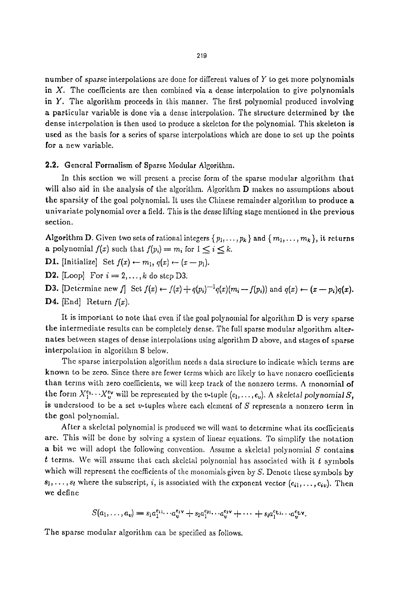number of *sparse* interpolations are done for different values of Y to get more polynomials in  $X$ . The coefficients are then combined via a dense interpolation to give polynomials in Y. The algorithm proceeds in this manner. The first polynomial produced involving a particular variable is done via a dense interpolation. The structure determined by the dcnsc interpolation is then used to produce a skeleton for the polynomial. This skeleton is used as the basis for a scries of sparse interpolations which arc done to set up the points for a new variable.

### 2.2. General Formalism of Sparse Modular Algorithm.

In this section wc will present a precise form of the sparse modular algorithm that will also aid in the analysis of the algorithm. Algorithm D makes no assumptions about the sparsity of the goal polynomial. It uses the Chinese remainder algorithm to produce a univariate polynomial over a field. This is the dense lifting stage mentioned in the previous section.

Algorithm D. Given two sets of rational integers  $\{p_1,\ldots,p_k\}$  and  $\{m_1,\ldots,m_k\}$ , it returns a polynomial  $f(x)$  such that  $f(p_i) = m_i$  for  $1 \leq i \leq k$ .

**D1.** [Initialize] Set  $f(x) \leftarrow m_1, q(x) \leftarrow (x - p_1)$ .

D2. [Loop] For  $i = 2, \ldots, k$  do step D3.

D3. [Determine new f] Set  $f(x) \leftarrow f(x) + q(p_i)^{-1}q(x)(m_i - f(p_i))$  and  $q(x) \leftarrow (x - p_i)q(x)$ . **D4.** [End] Return  $f(x)$ .

It is important to note that even if the goal polynomial for algorithm D is very sparse the intermediate results can be completely dense. The full sparse modular algorithm alternates between stages of dense interpolations using algorithm D abovc, and stages of sparse interpolation in algorithm S below.

The sparse interpolation algorithm needs a data structure to indicate which terms are known to bc zero. Since there are fewer terms which are likely to have nonzero coefficients than terms with zero coefficients, we will keep track of the nonzero terms. A monomial of the form  $X_1^{e_1}\cdots X_v^{e_v}$  will be represented by the v-tuple  $(c_1,\ldots, c_v)$ . A skeletal polynomial S, is understood to be a set  $v$ -tuples where each element of S represents a nonzero term in the goal polynomial.

After a skeletal polynomial is produced we will want to determine what its coefficients arc. This will be done by solving a system of linear equations. To simplify the notation a bit we will adopt the following convention. Assume a skeletal polynomial  $S$  contains  $t$  terms. We will assume that each skeletal polynomial has associated with it  $t$  symbols which will represent the coefficients of the monomials given by  $S$ . Denote these symbols by  $s_1, \ldots, s_t$  where the subscript, i, is associated with the exponent vector  $(c_{i1}, \ldots, c_{iv})$ . Then wc define

$$
S(a_1,\ldots,a_v)=s_1a_1^{e_{11}}\cdots a_v^{e_{1V}}+s_2a_1^{e_{21}}\cdots a_v^{e_{2V}}+\cdots+s_ia_1^{e_{11}}\cdots a_v^{e_{1V}}.
$$

The sparse modular algorithm can be specified as follows.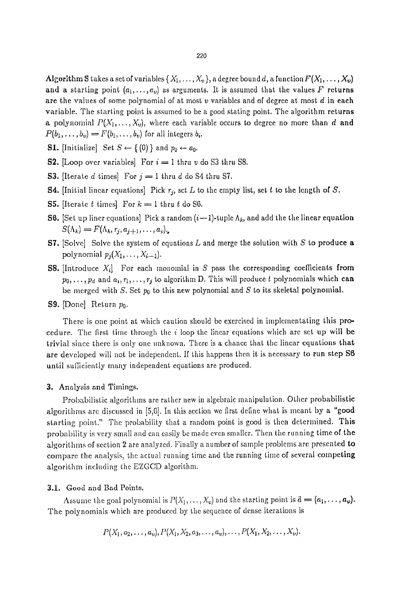Algorithm S takes a set of variables  $\{X_1, \ldots, X_v\}$ , a degree bound d, a function  $F(X_1, \ldots, X_v)$ and a starting point  $(a_1, \ldots, a_v)$  as arguments. It is assumed that the values F returns are the values of some polynomial of at most v variables and of degree at most  $d$  in each

variable. The starting point is assumed to be a good stating point. The algorithm returns a polynomial  $P(X_1, \ldots, X_v)$ , where each variable occurs to degree no more than d and  $P(b_1,\ldots,b_v) = F(b_1,\ldots,b_v)$  for all integers  $b_i$ .

**S1.** [Initialize] Set  $S \leftarrow \{0\}$  and  $p_0 \leftarrow a_0$ .

**S2.** [Loop over variables] For  $i = 1$  thru v do S3 thru S8.

**S3.** [Iterate d times] For  $j = 1$  thru d do S4 thru S7.

- **S4.** [Initial linear equations] Pick  $r_j$ , set L to the empty list, set t to the length of S.
- **S5.** [Iterate  $t$  times] For  $k = 1$  thru  $t$  do S6.
- **S6.** [Set up liner equations] Pick a random  $(i-1)$ -tuple  $\Lambda_k$ , and add the the linear equation  $S(\Lambda_k) = F(\Lambda_k, r_i, a_{i+1}, \ldots, a_v)$ .
- **S7.** [Solve] Solve the system of equations L and merge the solution with S to produce a polynomial  $p_i(X_1, \ldots, X_{i-1})$ .
- **S8.** [Introduce  $X_i$ ] For each monomial in S pass the corresponding coefficients from  $p_0, \ldots, p_d$  and  $a_i, r_1, \ldots, r_j$  to algorithm D. This will produce t polynomials which can be merged with S. Set  $p_0$  to this new polynomial and S to its skeletal polynomial.
- **S9.** [Done] Return  $p_0$ .

There is one point at which caution should bc exercised in implementating this procedure. The first time through the i loop the linear equations which are set up will bc trivial since there is only one unknown. There is a chance that the linear equations that are developed will not be independent. If this happens then it is necessary to run step S6 until sufficiently many independent equations are produced.

### **3.** Analysis and Timings.

Probabilistic algorithms are rather new in algebraic manipulation. Other probabilistic algorithms are discussed in  $[5,6]$ . In this section we first define what is meant by a "good starting point." The probability that a random point is good is then determined. This probability is very small and can easily be made even smaller. Then the running time of the algorithms of section 2 are analyzed. Finally a number of sample problems are presented to compare the analysis, the actual running time and the running time of several competing algorithm including the EZGCD algorithm.

### 3.1. Good and Bad Points.

Assume the goal polynomial is  $P(X_1, \ldots, X_v)$  and the starting point is  $\vec{a} = (a_1, \ldots, a_v)$ . The polynomials which are produced by the sequence of dense iterations is

$$
P(X_1, a_2, \ldots, a_{\nu}), P(X_1, X_2, a_3, \ldots, a_{\nu}), \ldots, P(X_1, X_2, \ldots, X_{\nu}).
$$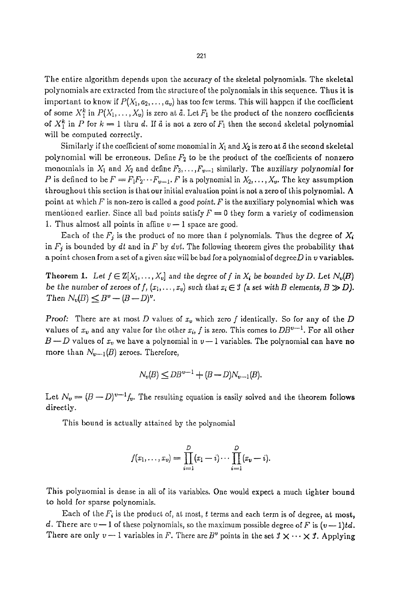The entire algorithm depends upon the accuracy of the skeletal polynomials. The skeletal polynomials are extracted from the structure of the polynomials in this sequence. Thus it is important to know if  $P(X_1, a_2, \ldots, a_v)$  has too few terms. This will happen if the coefficient of some  $X_1^k$  in  $P(X_1, \ldots, X_v)$  is zero at  $\tilde{a}$ . Let  $F_1$  be the product of the nonzero coefficients of  $X_1^k$  in P for  $k = 1$  thru d. If d is not a zero of  $F_1$  then the second skeletal polynomial

will be computed correctly.

Similarly if the coefficient of some monomial in  $X_1$  and  $X_2$  is zero at  $\vec{a}$  the second skeletal polynomial will be erroneous. Define  $F_2$  to be the product of the coefficients of nonzero monomials in  $X_1$  and  $X_2$  and define  $F_3, \ldots, F_{\nu-1}$  similarly. The *auxiliary polynomial* for P is defined to be  $F = F_1F_2 \cdots F_{v-1}$ . F is a polynomial in  $X_2, \ldots, X_v$ . The key assumption throughout this section is that our initial evaluation point is not a zero of this polynomial. A point at which  $F$  is non-zero is called a *good point.*  $F$  is the auxiliary polynomial which was mentioned earlier. Since all bad points satisfy  $F = 0$  they form a variety of codimension 1. Thus almost all points in affine  $v-1$  space are good.

Each of the  $F_j$  is the product of no more than t polynomials. Thus the degree of  $X_i$ in  $F_j$  is bounded by  $dt$  and in F by  $\frac{dv}{dt}$ . The following theorem gives the probability that a point chosen from a set of a given size will be bad for a polynomial of degree  $D$  in  $v$  variables.

Theorem 1. Let  $f \in \mathbb{Z}[X_1,\ldots,X_v]$  and the degree of f in  $X_i$  be bounded by D. Let  $N_v(B)$ *be the number of zeroes of f,*  $(x_1, \ldots, x_v)$  such that  $x_i \in \mathcal{I}$  (a set with B elements,  $B \gg D$ ). *Then*  $N_v(B) \leq B^v - (B-D)^v$ .

**Proof:** There are at most D values of  $x_v$  which zero f identically. So for any of the D values of  $x_v$  and any value for the other  $x_i$ , f is zero. This comes to  $DB^{v-1}$ . For all other  $B \rightarrow D$  values of  $x_v$  we have a polynomial in  $v-1$  variables. The polynomial can have no more than  $N_{v-1}(B)$  zeroes. Therefore,

$$
N_{v}(B) \leq DB^{v-1} + (B-D)N_{v-1}(B).
$$

Let  $N_v = (B-D)^{v-1}f_v$ . The resulting equation is easily solved and the theorem follows directly.

This bound is actually attained by the polynomial

$$
f(x_1,...,x_v) = \prod_{i=1}^D (x_1 - i) \cdots \prod_{i=1}^D (x_v - i).
$$

This polynomial is dense in all of its variables. One would expect a much tighter bound to hold for sparse polynomials.

Each of the  $F_i$  is the product of, at most, t terms and each term is of degree, at most, d. There are  $v-1$  of these polynomials, so the maximum possible degree of F is  $(v-1)td$ . There are only  $v-1$  variables in F. There are  $B^v$  points in the set  $\mathcal{I} \times \cdots \times \mathcal{I}$ . Applying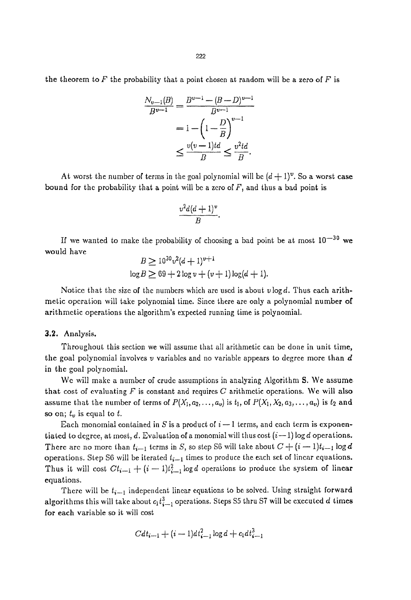the theorem to  $F$  the probability that a point chosen at random will be a zero of  $F$  is

$$
\frac{N_{v-1}(B)}{B^{v-1}} = \frac{B^{v-1} - (B-D)^{v-1}}{B^{v-1}}
$$
  
=  $1 - \left(1 - \frac{D}{B}\right)^{v-1}$   
 $\leq \frac{v(v-1)td}{B} \leq \frac{v^2td}{B}.$ 

At worst the number of terms in the goal polynomial will be  $(d+1)^{\nu}$ . So a worst case bound for the probability that a point will be a zero of  $F$ , and thus a bad point is

$$
\frac{v^2d(d+1)^v}{B}.
$$

If we wanted to make the probability of choosing a bad point be at most  $10^{-30}$  we would have  $\sim$   $\sim$ 

$$
B \ge 10^{30}v^2(d+1)^{v+1}
$$
  

$$
\log B \ge 69 + 2\log v + (v+1)\log(d+1).
$$

Notice that the size of the numbers which are used is about  $\nu \log d$ . Thus each arithmetic operation will take polynomial time, Since there are only a polynomial number of arithmetic operations the algorithm's expected running time is polynomial,

#### 3.2. Analysis.

Throughout this section we will assume that all arithmetic can be done in unit time, the goal polynomial involves  $v$  variables and no variable appears to degree more than  $d$ in the goal polynomial.

Wc will make a number of crude assumptions in analyzing Algorithm S. We assume that cost of evaluating  $F$  is constant and requires C arithmetic operations. We will also assume that the number of terms of  $P(X_1, a_2, \ldots, a_v)$  is  $t_1$ , of  $P(X_1, X_2, a_3, \ldots, a_v)$  is  $t_2$  and so on;  $t_v$  is equal to t.

Each monomial contained in S is a product of  $i-1$  terms, and each term is exponentiated to degree, at most, d. Evaluation of a monomial will thus cost  $(i-1)$  log d operations. There are no more than  $t_{i-1}$  terms in S, so step S6 will take about  $C + (i - 1)t_{i-1} \log d$ operations. Step S6 will be iterated  $t_{i-1}$  times to produce the each set of linear equations. Thus it will cost  $C_t$ <sub>i-1</sub> +  $(i-1)t_{i-1}^2$  log d operations to produce the system of linear equations.

There will be  $t_{i-1}$  independent linear equations to be solved. Using straight forward algorithms this will take about  $c_1 t_{i-1}^3$  operations. Steps S5 thru S7 will be executed d times for each variable so it will cost

$$
Cdt_{i+1} + (i+1)dt_{i+1}^2 \log d + c_1 dt_{i+1}^3
$$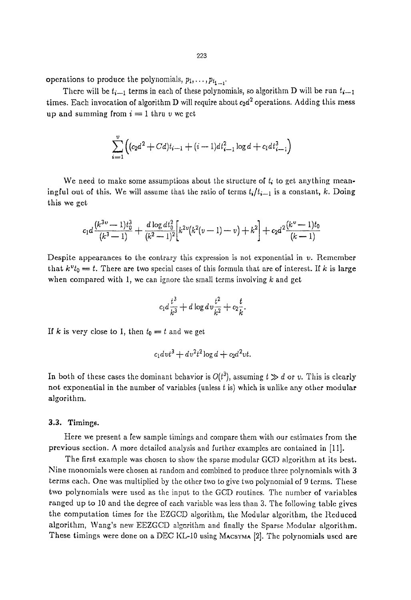operations to produce the polynomials,  $p_1, \ldots, p_{t_1}$ .

There will be  $t_{i+1}$  terms in each of these polynomials, so algorithm D will be run  $t_{i+1}$ times. Each invocation of algorithm D will require about  $c_2d^2$  operations. Adding this mess up and summing from  $i = 1$  thru v we get

$$
\sum_{i=1}^{v} \left( (c_2 d^2 + C d) t_{i-1} + (i - 1) d t_{i-1}^2 \log d + c_1 d t_{i-1}^3 \right)
$$

We need to make some assumptions about the structure of  $t_i$  to get anything meaningful out of this. We will assume that the ratio of terms  $t_i/t_{i-1}$  is a constant, k. Doing this we get,

$$
c_1 d \frac{(k^{3\upsilon}-1)t_0^3}{(k^3-1)} + \frac{d \log dt_0^2}{(k^2-1)^2} \left[ k^{2\upsilon} (k^2(\upsilon-1)-\upsilon) + k^2 \right] + c_2 d^2 \frac{(k^{\upsilon}-1)t_0}{(k-1)}
$$

Despite appearances to the contrary this expression is not exponential in  $\nu$ . Remember that  $k^vt_0 = t$ . There are two special cases of this formula that are of interest. If k is large when compared with 1, we can ignore the small terms involving  $k$  and get

$$
c_1 d \frac{t^3}{k^3} + d \log d v \frac{t^2}{k^2} + c_2 \frac{t}{k}.
$$

If k is very close to 1, then  $t_0 = t$  and we get

$$
c_1 dv t^3 + dv^2 t^2 \log d + c_2 d^2 vt.
$$

In both of these cases the dominant behavior is  $O(t^3)$ , assuming  $t \gg d$  or v. This is clearly not exponential in the number of variables (unless  $t$  is) which is unlike any other modular algorithm.

## 3.3. Timings.

Here we present a few sample timings and compare them with our estimates from the previous section. A more detailed analysis and further examples are contained in [11].

The first example was chosen to show the sparse modular GCD algorithm at its best. Nine monomials were chosen at random and combined to produce three polynomials with 3 terms each. One was multiplied by the other two to give two polynomial of 9 terms. These two polynomials were used as the input to the GCD routines. The number of variables ranged up to i0 and the degree of each variable was less than 3. The following table gives the computation times for the EZGCD algorithm, the Modular algorithm, the Reduced algorithm, Wang's new EEZGCD algorithm and finally the Sparse Modular algorithm. These timings were done on a DEC KL-10 using MACSYMA  $[2]$ . The polynomials used are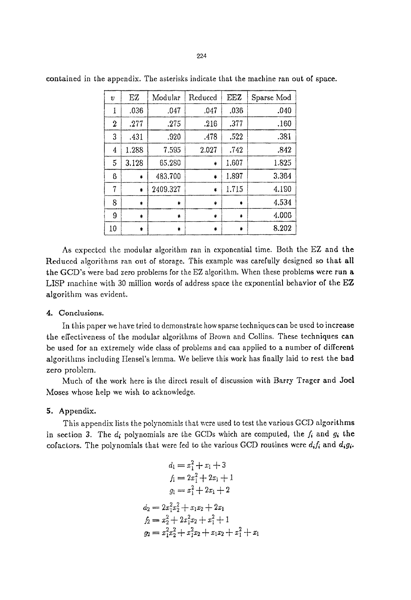| $\upsilon$ | ΕZ           | Modular      | Reduced | EEZ          | Sparse Mod |
|------------|--------------|--------------|---------|--------------|------------|
| 1          | .036         | .047         | .047    | .036         | .040       |
| 2          | .277         | .275         | .216    | .377         | .160       |
| 3          | .431         | .920         | .478    | .522         | .381       |
| 4          | 1.288        | 7.595        | 2.027   | .742         | .842       |
| 5          | 3.128        | 65.280       | ÷       | 1.607        | 1.825      |
| 6          | $\ddagger$   | 483.700      | ٠       | 1.897        | 3.364      |
| 7          | $\bullet$    | 2409.327     | *       | 1.715        | 4.190      |
| 8          | $\ddagger$   | $\pmb{\ast}$ | \$      | $\pmb{\ast}$ | 4.534      |
| 9          | $\pmb{\ast}$ | 素            | ŧ       | *            | 4.006      |
| 10         | \$           | \$           | *       | ۰            | 8.202      |

contained in the appendix. The asterisks indicate that the machine ran out of space.

As expected the modular algorithm ran in exponential time. Both the EZ and the Reduced algorithms ran out of storage. This example was carefully designed so that all the GCD's were bad zero problems for the EZ algorithm. When thcse problems were run a LISP machine with 30 million words of address space the exponential behavior of the EZ algorithm was evident.

## 4. Conclusions.

In this paper we have tried to demonstrate how sparse techniques can bc used to incrcase the effectiveness of the modular algorithms of Brown and Collins. These techniques can be used for an extremely wide class of problems and can applied to a number of different algorithms including Hensel's lemma. We believe this work has finally laid to rest the bad zero problem.

Much of the work here is the direct result of discussion with Barry Trager and Joel Moses whose help we wish to acknowledge.

## 5. Appendix.

This appendix lists the polynomials that were used to test the various GCD algorithms in section 3. The  $d_i$  polynomials are the GCDs which are computed, the  $f_i$  and  $g_i$  the cofactors. The polynomials that were fed to the various GCD routines were  $d_i f_i$  and  $d_i g_i$ .

$$
d_1 = x_1^2 + x_1 + 3
$$
  
\n
$$
f_1 = 2x_1^2 + 2x_1 + 1
$$
  
\n
$$
g_1 = x_1^2 + 2x_1 + 2
$$
  
\n
$$
d_2 = 2x_1^2x_2^2 + x_1x_2 + 2x_1
$$
  
\n
$$
f_2 = x_2^2 + 2x_1^2x_2 + x_1^2 + 1
$$
  
\n
$$
g_2 = x_1^2x_2^2 + x_1^2x_2 + x_1x_2 + x_1^2 + x_1
$$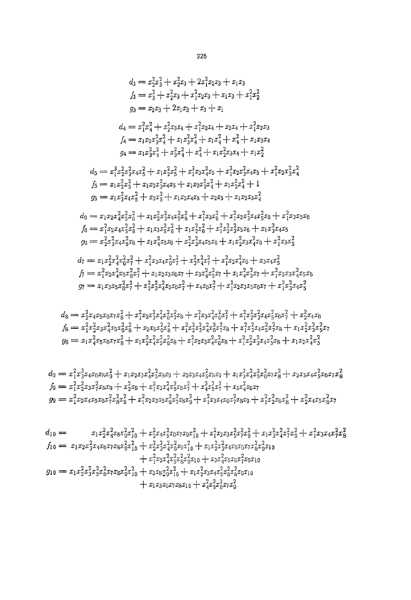$$
d_3 = x_2^2x_3^2 + x_2^2x_3 + 2x_1^2x_2x_3 + x_1x_3
$$
\n
$$
f_3 = x_3^2 + x_2^2x_3 + x_1^2x_2x_3 + x_1x_3 + x_1^2x_2^2
$$
\n
$$
g_3 = x_2x_3 + 2x_1x_3 + x_1x_3 + x_1^2x_2^2
$$
\n
$$
g_3 = x_2x_3 + 2x_1x_3 + x_1^2x_2x_4 + x_2x_4 + x_1^2x_2x_3
$$
\n
$$
f_4 = x_1x_2x_3^2x_4^2 + x_1x_3^2x_4^2 + x_1x_2^2x_3x_4 + x_1x_2^2
$$
\n
$$
g_4 = x_1x_3^2x_4^2 + x_3^2x_4^2 + x_1x_2^2x_3x_4 + x_1x_2^2
$$
\n
$$
g_5 = x_1x_2^2x_3^2x_4x_3^2 + x_1x_2^2x_3^2 + x_1^2x_2x_3x_4 + x_1x_2^2
$$
\n
$$
d_5 = x_1^2x_2^2x_3x_3^2 + x_1x_2x_3^2x_4 + x_1x_2x_3x_3x_4 + x_1x_2^2
$$
\n
$$
f_5 = x_1x_2^2x_3^2 + x_1x_2x_3^2x_4x_5 + x_1x_2x_3^2x_4^2 + x_1x_2x_3x_4^2 + 1
$$
\n
$$
g_5 = x_1x_2^2x_3^2x_4^2 + x_1x_2x_3^2x_4x_5 + x_1x_2x_3^2x_4^2 + x_1x_2x_3x_4^2
$$
\n
$$
f_6 = x_1x_2x_3^2x_4^2x_5^2 + x_1x_2x_3^2x_4^2x_5^2 + x_1x_2^2x_3^2x_4^2 + x_1^2x_2x_3^2x_4x_5^2x_0 + x_1^2x_3x_3
$$

+  $x_1x_3x_0x_7x_8x_1$ <sup>0</sup> +  $x_4^2x_5^2x_8^2x_7x_9^2$